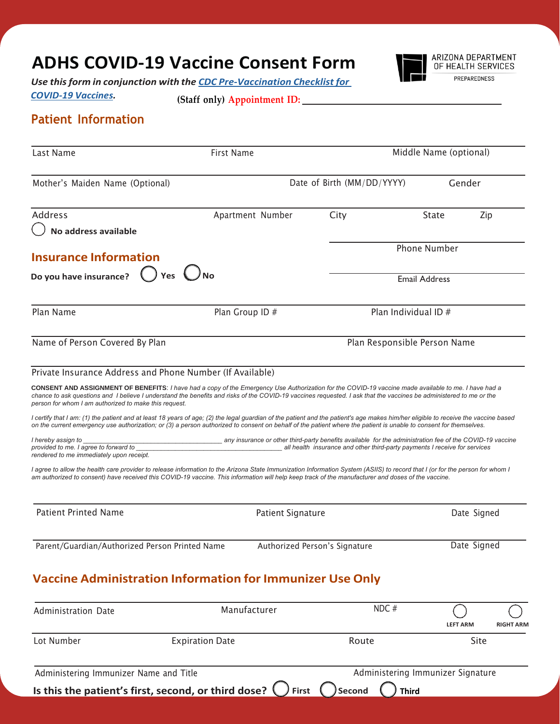## **ADHS COVID-19 Vaccine Consent Form**



*Use thisform in conjunction with the CDC [Pre-Vaccination](https://www.cdc.gov/vaccines/covid-19/downloads/pre-vaccination-screening-form.pdf) Checklist for*

*[COVID-19](https://www.cdc.gov/vaccines/covid-19/downloads/pre-vaccination-screening-form.pdf) Vaccines.*

**(Staff only) Appointment ID:**

## **Patient Information**

| Last Name                                                                                                                                                                                                                                                                                                                                                                                                                                                                                                                                                                                                                                                                                                                                                                                                                                                                                                                                                                                                                                                                                                                                                                                                                                                    | <b>First Name</b>                                                                                        |                                                                            | Middle Name (optional)              |  |  |
|--------------------------------------------------------------------------------------------------------------------------------------------------------------------------------------------------------------------------------------------------------------------------------------------------------------------------------------------------------------------------------------------------------------------------------------------------------------------------------------------------------------------------------------------------------------------------------------------------------------------------------------------------------------------------------------------------------------------------------------------------------------------------------------------------------------------------------------------------------------------------------------------------------------------------------------------------------------------------------------------------------------------------------------------------------------------------------------------------------------------------------------------------------------------------------------------------------------------------------------------------------------|----------------------------------------------------------------------------------------------------------|----------------------------------------------------------------------------|-------------------------------------|--|--|
| Mother's Maiden Name (Optional)                                                                                                                                                                                                                                                                                                                                                                                                                                                                                                                                                                                                                                                                                                                                                                                                                                                                                                                                                                                                                                                                                                                                                                                                                              |                                                                                                          | Date of Birth (MM/DD/YYYY)                                                 | Gender                              |  |  |
| <b>Address</b>                                                                                                                                                                                                                                                                                                                                                                                                                                                                                                                                                                                                                                                                                                                                                                                                                                                                                                                                                                                                                                                                                                                                                                                                                                               | Apartment Number                                                                                         | City                                                                       | State<br>Zip                        |  |  |
| No address available                                                                                                                                                                                                                                                                                                                                                                                                                                                                                                                                                                                                                                                                                                                                                                                                                                                                                                                                                                                                                                                                                                                                                                                                                                         |                                                                                                          |                                                                            |                                     |  |  |
| <b>Insurance Information</b><br>)Yes ∪No<br>Do you have insurance?                                                                                                                                                                                                                                                                                                                                                                                                                                                                                                                                                                                                                                                                                                                                                                                                                                                                                                                                                                                                                                                                                                                                                                                           |                                                                                                          | <b>Phone Number</b><br><b>Email Address</b>                                |                                     |  |  |
|                                                                                                                                                                                                                                                                                                                                                                                                                                                                                                                                                                                                                                                                                                                                                                                                                                                                                                                                                                                                                                                                                                                                                                                                                                                              |                                                                                                          |                                                                            |                                     |  |  |
| Name of Person Covered By Plan                                                                                                                                                                                                                                                                                                                                                                                                                                                                                                                                                                                                                                                                                                                                                                                                                                                                                                                                                                                                                                                                                                                                                                                                                               | Plan Responsible Person Name                                                                             |                                                                            |                                     |  |  |
| Private Insurance Address and Phone Number (If Available)<br>CONSENT AND ASSIGNMENT OF BENEFITS: I have had a copy of the Emergency Use Authorization for the COVID-19 vaccine made available to me. I have had a<br>chance to ask questions and I believe I understand the benefits and risks of the COVID-19 vaccines requested. I ask that the vaccines be administered to me or the<br>person for whom I am authorized to make this request.<br>I certify that I am: (1) the patient and at least 18 years of age; (2) the legal guardian of the patient and the patient's age makes him/her eligible to receive the vaccine based<br>on the current emergency use authorization; or (3) a person authorized to consent on behalf of the patient where the patient is unable to consent for themselves.<br>I hereby assign to<br>provided to me. I agree to forward to<br>rendered to me immediately upon receipt.<br>I agree to allow the health care provider to release information to the Arizona State Immunization Information System (ASIIS) to record that I (or for the person for whom I<br>am authorized to consent) have received this COVID-19 vaccine. This information will help keep track of the manufacturer and doses of the vaccine. | any insurance or other third-party benefits available for the administration fee of the COVID-19 vaccine | all health insurance and other third-party payments I receive for services |                                     |  |  |
| <b>Patient Printed Name</b>                                                                                                                                                                                                                                                                                                                                                                                                                                                                                                                                                                                                                                                                                                                                                                                                                                                                                                                                                                                                                                                                                                                                                                                                                                  | <b>Patient Signature</b>                                                                                 |                                                                            | Date Signed                         |  |  |
| Parent/Guardian/Authorized Person Printed Name                                                                                                                                                                                                                                                                                                                                                                                                                                                                                                                                                                                                                                                                                                                                                                                                                                                                                                                                                                                                                                                                                                                                                                                                               |                                                                                                          | Authorized Person's Signature                                              | Date Signed                         |  |  |
| <b>Vaccine Administration Information for Immunizer Use Only</b>                                                                                                                                                                                                                                                                                                                                                                                                                                                                                                                                                                                                                                                                                                                                                                                                                                                                                                                                                                                                                                                                                                                                                                                             |                                                                                                          |                                                                            |                                     |  |  |
| <b>Administration Date</b>                                                                                                                                                                                                                                                                                                                                                                                                                                                                                                                                                                                                                                                                                                                                                                                                                                                                                                                                                                                                                                                                                                                                                                                                                                   | Manufacturer                                                                                             | NDC#                                                                       | <b>LEFT ARM</b><br><b>RIGHT ARM</b> |  |  |

Lot Number **Expiration Date Expiration Date Route** Route Site Administering Immunizer Name and Title **Administering Immunizer Signature** Administering Immunizer Signature **Is this the patient's first, second, or third dose?**  $\bigcirc$  **First**  $\bigcirc$  **Second**  $\bigcirc$  **Third**